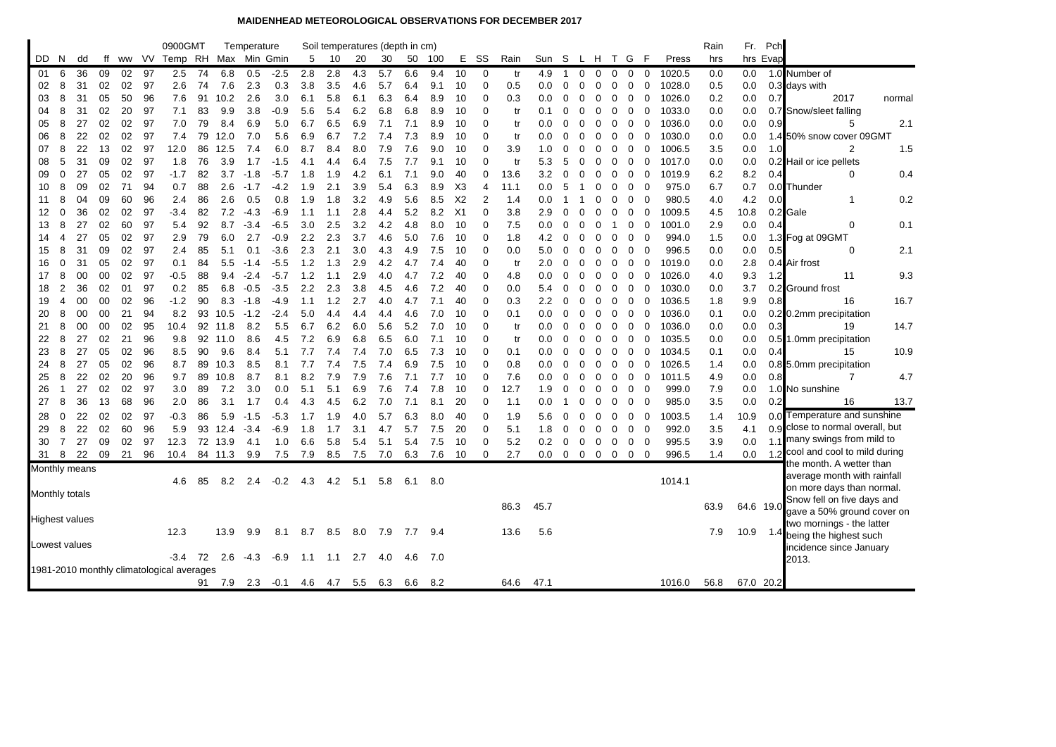## **MAIDENHEAD METEOROLOGICAL OBSERVATIONS FOR DECEMBER 2017**

|     |                |                       |    |    |       | 0900GMT                                   |    |         | Temperature |        |       |     | Soil temperatures (depth in cm) |     |     |       |                |                |      |               |                |              |                   |              |                |             |        | Rain | Fr.       | Pch      |                                  |
|-----|----------------|-----------------------|----|----|-------|-------------------------------------------|----|---------|-------------|--------|-------|-----|---------------------------------|-----|-----|-------|----------------|----------------|------|---------------|----------------|--------------|-------------------|--------------|----------------|-------------|--------|------|-----------|----------|----------------------------------|
| DD. | -N             | dd                    | ff |    | ww VV | Temp RH Max Min Gmin                      |    |         |             |        | 5     | 10  | 20                              | 30  | 50  | - 100 | Е              | SS             | Rain | Sun S L H T G |                |              |                   |              |                | - F         | Press  | hrs  |           | hrs Evap |                                  |
| 01  | 6              | 36                    | 09 | 02 | 97    | 2.5                                       | 74 | 6.8     | 0.5         | $-2.5$ | 2.8   | 2.8 | 4.3                             | 5.7 | 6.6 | 9.4   | 10             | 0              | tr   | 4.9           | -1             | 0            | 0                 | 0            | 0              | 0           | 1020.5 | 0.0  | 0.0       |          | 1.0 Number of                    |
| 02  | 8              | 31                    | 02 | 02 | 97    | 2.6                                       | 74 | 7.6     | 2.3         | 0.3    | 3.8   | 3.5 | 4.6                             | 5.7 | 6.4 | 9.1   | 10             | $\mathbf 0$    | 0.5  | 0.0           | 0              | 0            | 0                 | 0            | $\mathbf 0$    | 0           | 1028.0 | 0.5  | 0.0       |          | 0.3 days with                    |
| 03  | 8              | 31                    | 05 | 50 | 96    | 7.6                                       | 91 | 10.2    | 2.6         | 3.0    | 6.1   | 5.8 | 6.1                             | 6.3 | 6.4 | 8.9   | 10             | $\Omega$       | 0.3  | 0.0           | $\Omega$       | $\Omega$     | 0                 | 0            | 0              | 0           | 1026.0 | 0.2  | 0.0       | 0.7      | 2017<br>normal                   |
| 04  | 8              | 31                    | 02 | 20 | 97    | 7.1                                       | 83 | 9.9     | 3.8         | -0.9   | 5.6   | 5.4 | 6.2                             | 6.8 | 6.8 | 8.9   | 10             | $\Omega$       | tr   | 0.1           | 0              | $\Omega$     | 0                 | 0            | 0              | $\mathbf 0$ | 1033.0 | 0.0  | 0.0       |          | 0.7 Snow/sleet falling           |
| 05  | 8              | 27                    | 02 | 02 | 97    | 7.0                                       | 79 | 8.4     | 6.9         | 5.0    | 6.7   | 6.5 | 6.9                             | 7.1 | 7.1 | 8.9   | 10             | $\Omega$       | tr   | 0.0           | $\Omega$       | $\Omega$     | 0                 | 0            | 0              | 0           | 1036.0 | 0.0  | 0.0       | 0.9      | 2.1<br>5                         |
| 06  | 8              | 22                    | 02 | 02 | 97    | 7.4                                       | 79 | 12.0    | 7.0         | 5.6    | 6.9   | 6.7 | 7.2                             | 7.4 | 7.3 | 8.9   | 10             | $\Omega$       | tr   | 0.0           | $\Omega$       | <sup>0</sup> | 0                 | 0            | 0              | $\Omega$    | 1030.0 | 0.0  | 0.0       |          | 1.4 50% snow cover 09GMT         |
| 07  | 8              | 22                    | 13 | 02 | 97    | 12.0                                      | 86 | 12.5    | 7.4         | 6.0    | 8.7   | 8.4 | 8.0                             | 7.9 | 7.6 | 9.0   | 10             | 0              | 3.9  | 1.0           | 0              | 0            | 0                 | 0            | 0              | 0           | 1006.5 | 3.5  | 0.0       | 1.0      | $\overline{2}$<br>1.5            |
| 08  | 5              | 31                    | 09 | 02 | 97    | 1.8                                       | 76 | 3.9     | 1.7         | $-1.5$ | 4.1   | 4.4 | 6.4                             | 7.5 | 7.7 | 9.1   | 10             | $\Omega$       | tr   | 5.3           | 5              | $\Omega$     | 0                 | 0            | 0              | 0           | 1017.0 | 0.0  | 0.0       |          | 0.2 Hail or ice pellets          |
| 09  | $\mathbf 0$    | 27                    | 05 | 02 | 97    | $-1.7$                                    | 82 | 3.7     | $-1.8$      | $-5.7$ | 1.8   | 1.9 | 4.2                             | 6.1 | 7.1 | 9.0   | 40             | $\Omega$       | 13.6 | 3.2           | $\Omega$       | 0            | $\mathbf 0$       | 0            | $\mathbf{0}$   | 0           | 1019.9 | 6.2  | 8.2       | 0.4      | 0.4<br>0                         |
| 10  | 8              | 09                    | 02 | 71 | 94    | 0.7                                       | 88 | 2.6     | $-1.7$      | $-4.2$ | 1.9   | 2.1 | 3.9                             | 5.4 | 6.3 | 8.9   | X <sub>3</sub> | $\overline{4}$ | 11.1 | 0.0           | 5              |              | 0                 | 0            | 0              | $\mathbf 0$ | 975.0  | 6.7  | 0.7       | 0.0      | <b>Thunder</b>                   |
| 11  | 8              | 04                    | 09 | 60 | 96    | 2.4                                       | 86 | 2.6     | 0.5         | 0.8    | 1.9   | 1.8 | 3.2                             | 4.9 | 5.6 | 8.5   | X <sub>2</sub> | $\overline{2}$ | 1.4  | 0.0           |                |              | 0                 | $\mathbf 0$  | 0              | $\mathbf 0$ | 980.5  | 4.0  | 4.2       | 0.0      | 0.2<br>1                         |
| 12  | $\mathbf 0$    | 36                    | 02 | 02 | 97    | -3.4                                      | 82 | 7.2     | $-4.3$      | $-6.9$ | 1.1   | 1.1 | 2.8                             | 4.4 | 5.2 | 8.2   | X <sub>1</sub> | $\Omega$       | 3.8  | 2.9           | $\Omega$       | 0            | 0                 | 0            | 0              | 0           | 1009.5 | 4.5  | 10.8      |          | 0.2 Gale                         |
| 13  | 8              | 27                    | 02 | 60 | 97    | 5.4                                       | 92 | 8.7     | $-3.4$      | $-6.5$ | 3.0   | 2.5 | 3.2                             | 4.2 | 4.8 | 8.0   | 10             | $\Omega$       | 7.5  | 0.0           | 0              | 0            | 0                 | -1           | 0              | 0           | 1001.0 | 2.9  | 0.0       | 0.4      | 0.1<br>0                         |
| 14  | $\overline{4}$ | 27                    | 05 | 02 | 97    | 2.9                                       | 79 | 6.0     | 2.7         | -0.9   | 2.2   | 2.3 | 3.7                             | 4.6 | 5.0 | 7.6   | 10             | $\Omega$       | 1.8  | 4.2           | 0              | 0            | 0                 | 0            | 0              | 0           | 994.0  | 1.5  | 0.0       |          | 1.3 Fog at 09GMT                 |
| 15  | 8              | 31                    | 09 | 02 | 97    | 2.4                                       | 85 | 5.1     | 0.1         | $-3.6$ | 2.3   | 2.1 | 3.0                             | 4.3 | 4.9 | 7.5   | 10             | $\Omega$       | 0.0  | 5.0           | 0              | 0            | 0                 | 0            | 0              | 0           | 996.5  | 0.0  | 0.0       | 0.5      | 0<br>2.1                         |
| 16  | $\mathbf 0$    | 31                    | 05 | 02 | 97    | 0.1                                       | 84 | 5.5     | $-1.4$      | $-5.5$ | $1.2$ | 1.3 | 2.9                             | 4.2 | 4.7 | 7.4   | 40             | $\Omega$       | tr   | 2.0           | 0              | $\Omega$     | 0                 | 0            | 0              | 0           | 1019.0 | 0.0  | 2.8       |          | 0.4 Air frost                    |
| 17  | 8              | 00                    | 00 | 02 | 97    | -0.5                                      | 88 | 9.4     | $-2.4$      | $-5.7$ | 1.2   | 1.1 | 2.9                             | 4.0 | 4.7 | 7.2   | 40             | $\Omega$       | 4.8  | 0.0           | $\Omega$       | 0            | 0                 | 0            | 0              | 0           | 1026.0 | 4.0  | 9.3       | 1.2      | 11<br>9.3                        |
| 18  | $\overline{2}$ | 36                    | 02 | 01 | 97    | 0.2                                       | 85 | 6.8     | $-0.5$      | $-3.5$ | 2.2   | 2.3 | 3.8                             | 4.5 | 4.6 | 7.2   | 40             | $\Omega$       | 0.0  | 5.4           | $\Omega$       | 0            | 0                 | 0            | 0              | 0           | 1030.0 | 0.0  | 3.7       |          | 0.2 Ground frost                 |
| 19  | 4              | 00                    | 00 | 02 | 96    | $-1.2$                                    | 90 | 8.3     | $-1.8$      | -4.9   | 1.1   | 1.2 | 2.7                             | 4.0 | 4.7 | 7.1   | 40             | $\Omega$       | 0.3  | $2.2\,$       | 0              | $\Omega$     | 0                 | 0            | 0              | $\mathbf 0$ | 1036.5 | 1.8  | 9.9       | 0.8      | 16.7<br>16                       |
| 20  | 8              | 00                    | 00 | 21 | 94    | 8.2                                       | 93 | 10.5    | $-1.2$      | $-2.4$ | 5.0   | 4.4 | 4.4                             | 4.4 | 4.6 | 7.0   | 10             | $\Omega$       | 0.1  | 0.0           | $\Omega$       | $\Omega$     | 0                 | 0            | - 0            | 0           | 1036.0 | 0.1  | 0.0       |          | 0.2 0.2mm precipitation          |
| 21  | 8              | 00                    | 00 | 02 | 95    | 10.4                                      | 92 | 11.8    | 8.2         | 5.5    | 6.7   | 6.2 | 6.0                             | 5.6 | 5.2 | 7.0   | 10             | $\Omega$       | tr   | 0.0           | 0              | 0            | 0                 | 0            | 0              | 0           | 1036.0 | 0.0  | 0.0       | 0.3      | 14.7<br>19                       |
| 22  | 8              | 27                    | 02 | 21 | 96    | 9.8                                       | 92 | 11.0    | 8.6         | 4.5    | 7.2   | 6.9 | 6.8                             | 6.5 | 6.0 | 7.1   | 10             | $\Omega$       | tr   | 0.0           | 0              | $\Omega$     | $\Omega$          | 0            | 0              | 0           | 1035.5 | 0.0  | 0.0       |          | 0.5 1.0mm precipitation          |
| 23  | 8              | 27                    | 05 | 02 | 96    | 8.5                                       | 90 | 9.6     | 8.4         | 5.1    | 7.7   | 7.4 | 7.4                             | 7.0 | 6.5 | 7.3   | 10             | $\Omega$       | 0.1  | 0.0           | $\Omega$       | $\Omega$     | 0                 | 0            | 0              | 0           | 1034.5 | 0.1  | 0.0       | 0.4      | 10.9<br>15                       |
| 24  | 8              | 27                    | 05 | 02 | 96    | 8.7                                       | 89 | 10.3    | 8.5         | 8.1    | 7.7   | 7.4 | 7.5                             | 7.4 | 6.9 | 7.5   | 10             | $\Omega$       | 0.8  | 0.0           | 0              | 0            | 0                 | 0            | 0              | 0           | 1026.5 | 1.4  | 0.0       |          | 0.8 5.0mm precipitation          |
| 25  | 8              | 22                    | 02 | 20 | 96    | 9.7                                       | 89 | 10.8    | 8.7         | 8.1    | 8.2   | 7.9 | 7.9                             | 7.6 | 7.1 | 7.7   | 10             | $\Omega$       | 7.6  | 0.0           | $\Omega$       | 0            | $\mathbf 0$       | 0            | 0              | $\mathbf 0$ | 1011.5 | 4.9  | 0.0       | 0.8      | $\overline{7}$<br>4.7            |
| 26  | 1              | 27                    | 02 | 02 | 97    | 3.0                                       | 89 | 7.2     | 3.0         | 0.0    | 5.1   | 5.1 | 6.9                             | 7.6 | 7.4 | 7.8   | 10             | $\Omega$       | 12.7 | 1.9           | $\Omega$       | $\Omega$     | 0                 | 0            | 0              | 0           | 999.0  | 7.9  | 0.0       |          | 1.0 No sunshine                  |
| 27  | 8              | 36                    | 13 | 68 | 96    | 2.0                                       | 86 | 3.1     | 1.7         | 0.4    | 4.3   | 4.5 | 6.2                             | 7.0 | 7.1 | 8.1   | 20             | $\mathbf 0$    | 1.1  | 0.0           |                | $\Omega$     | 0                 | 0            | 0              | 0           | 985.0  | 3.5  | 0.0       | 0.2      | 13.7<br>16                       |
| 28  | $\mathbf 0$    | 22                    | 02 | 02 | 97    | $-0.3$                                    | 86 | 5.9     | $-1.5$      | $-5.3$ | 1.7   | 1.9 | 4.0                             | 5.7 | 6.3 | 8.0   | 40             | $\Omega$       | 1.9  | 5.6           | 0              | $\Omega$     | 0                 | 0            | $\mathbf{0}$   | 0           | 1003.5 | 1.4  | 10.9      | 0.0      | Temperature and sunshine         |
| 29  | 8              | 22                    | 02 | 60 | 96    | 5.9                                       | 93 | 12.4    | $-3.4$      | -6.9   | 1.8   | 1.7 | 3.1                             | 4.7 | 5.7 | 7.5   | 20             | $\mathbf 0$    | 5.1  | 1.8           | 0              | 0            | 0                 | 0            | $\mathbf{0}$   | 0           | 992.0  | 3.5  | 4.1       |          | 0.9 close to normal overall, but |
| 30  | 7              | 27                    | 09 | 02 | 97    | 12.3                                      | 72 | 13.9    | 4.1         | 1.0    | 6.6   | 5.8 | 5.4                             | 5.1 | 5.4 | 7.5   | 10             | $\mathbf 0$    | 5.2  | $0.2\,$       | 0              | $\mathbf 0$  | $\overline{0}$    | $\mathbf{0}$ | $\overline{0}$ | 0           | 995.5  | 3.9  | 0.0       |          | 1.1 many swings from mild to     |
| 31  | 8              | 22                    | 09 | 21 | 96    | 10.4                                      |    | 84 11.3 | 9.9         | 7.5    | 7.9   | 8.5 | 7.5                             | 7.0 | 6.3 | 7.6   | 10             | 0              | 2.7  | $0.0\,$       | $\overline{0}$ |              | $0\quad 0\quad 0$ |              | $\overline{0}$ | - 0         | 996.5  | 1.4  | 0.0       | $-1.2$   | cool and cool to mild during     |
|     |                | Monthly means         |    |    |       |                                           |    |         |             |        |       |     |                                 |     |     |       |                |                |      |               |                |              |                   |              |                |             |        |      |           |          | the month. A wetter than         |
|     |                |                       |    |    |       | 4.6                                       | 85 | 8.2     | 2.4         | $-0.2$ | 4.3   | 4.2 | 5.1                             | 5.8 | 6.1 | 8.0   |                |                |      |               |                |              |                   |              |                |             | 1014.1 |      |           |          | average month with rainfall      |
|     |                | Monthly totals        |    |    |       |                                           |    |         |             |        |       |     |                                 |     |     |       |                |                |      |               |                |              |                   |              |                |             |        |      |           |          | on more days than normal.        |
|     |                |                       |    |    |       |                                           |    |         |             |        |       |     |                                 |     |     |       |                |                | 86.3 | 45.7          |                |              |                   |              |                |             |        | 63.9 | 64.6 19.0 |          | Snow fell on five days and       |
|     |                | <b>Highest values</b> |    |    |       |                                           |    |         |             |        |       |     |                                 |     |     |       |                |                |      |               |                |              |                   |              |                |             |        |      |           |          | gave a 50% ground cover on       |
|     |                |                       |    |    |       | 12.3                                      |    | 13.9    | 9.9         | 8.1    | 8.7   | 8.5 | 8.0                             | 7.9 | 7.7 | 9.4   |                |                | 13.6 | 5.6           |                |              |                   |              |                |             |        | 7.9  |           |          | two mornings - the latter        |
|     |                | Lowest values         |    |    |       |                                           |    |         |             |        |       |     |                                 |     |     |       |                |                |      |               |                |              |                   |              |                |             |        |      |           |          | 10.9 1.4 being the highest such  |
|     |                |                       |    |    |       | $-3.4$                                    | 72 | 2.6     | $-4.3$      | $-6.9$ | 1.1   | 1.1 | 2.7                             | 4.0 | 4.6 | 7.0   |                |                |      |               |                |              |                   |              |                |             |        |      |           |          | incidence since January          |
|     |                |                       |    |    |       | 1981-2010 monthly climatological averages |    |         |             |        |       |     |                                 |     |     |       |                |                |      |               |                |              |                   |              |                |             |        |      |           |          | 2013.                            |
|     |                |                       |    |    |       |                                           | 91 | 7.9     | 2.3         | $-0.1$ | 4.6   | 4.7 | 5.5                             | 6.3 | 6.6 | 8.2   |                |                | 64.6 | 47.1          |                |              |                   |              |                |             | 1016.0 | 56.8 | 67.0 20.2 |          |                                  |
|     |                |                       |    |    |       |                                           |    |         |             |        |       |     |                                 |     |     |       |                |                |      |               |                |              |                   |              |                |             |        |      |           |          |                                  |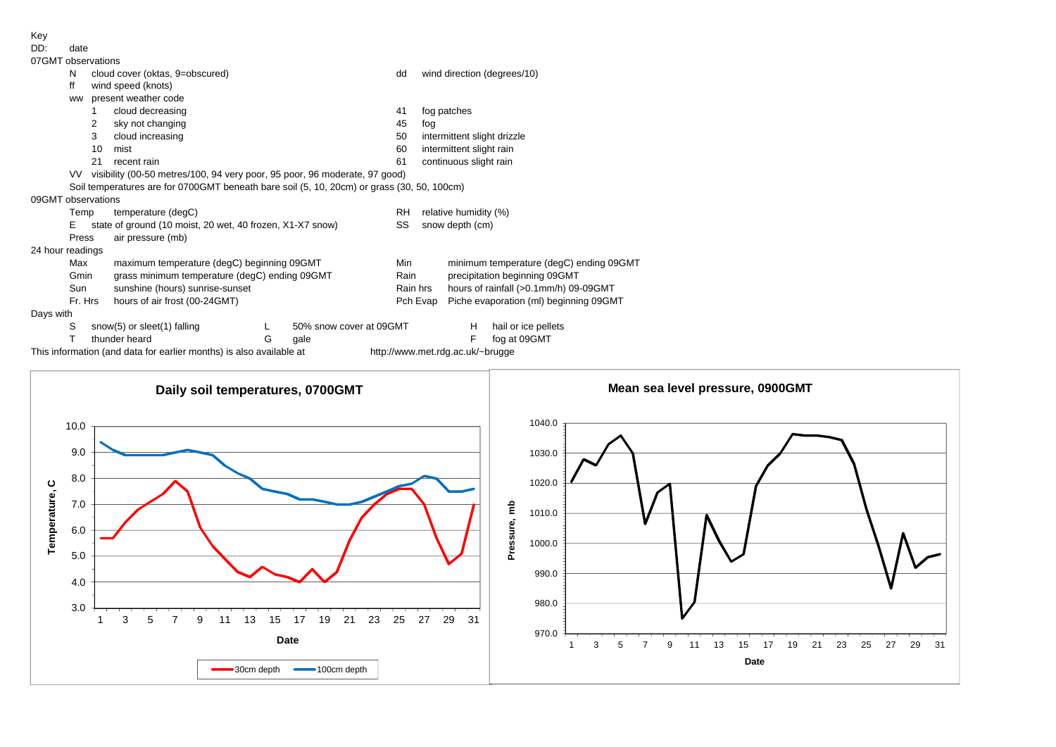Key<br>מח

| DD:                | date      |                       |                                                                                            |   |                         |                                  |                             |                                         |                             |  |  |  |
|--------------------|-----------|-----------------------|--------------------------------------------------------------------------------------------|---|-------------------------|----------------------------------|-----------------------------|-----------------------------------------|-----------------------------|--|--|--|
| 07GMT observations |           |                       |                                                                                            |   |                         |                                  |                             |                                         |                             |  |  |  |
|                    | N         |                       | cloud cover (oktas, 9=obscured)                                                            |   |                         | dd                               |                             |                                         | wind direction (degrees/10) |  |  |  |
|                    | ff        |                       | wind speed (knots)                                                                         |   |                         |                                  |                             |                                         |                             |  |  |  |
|                    | <b>WW</b> |                       | present weather code                                                                       |   |                         |                                  |                             |                                         |                             |  |  |  |
|                    |           | cloud decreasing      |                                                                                            |   |                         |                                  |                             | fog patches                             |                             |  |  |  |
|                    |           | sky not changing<br>2 |                                                                                            |   |                         |                                  |                             |                                         |                             |  |  |  |
|                    |           | 3                     | cloud increasing                                                                           |   |                         | 50                               | intermittent slight drizzle |                                         |                             |  |  |  |
|                    |           | 10                    | mist                                                                                       |   |                         | 60                               | intermittent slight rain    |                                         |                             |  |  |  |
|                    |           | 21                    | recent rain                                                                                |   |                         | 61                               | continuous slight rain      |                                         |                             |  |  |  |
|                    |           |                       | VV visibility (00-50 metres/100, 94 very poor, 95 poor, 96 moderate, 97 good)              |   |                         |                                  |                             |                                         |                             |  |  |  |
|                    |           |                       | Soil temperatures are for 0700GMT beneath bare soil (5, 10, 20cm) or grass (30, 50, 100cm) |   |                         |                                  |                             |                                         |                             |  |  |  |
| 09GMT observations |           |                       |                                                                                            |   |                         |                                  |                             |                                         |                             |  |  |  |
|                    | Temp      |                       | temperature (degC)                                                                         |   |                         | <b>RH</b>                        | relative humidity (%)       |                                         |                             |  |  |  |
|                    | Е         |                       | state of ground (10 moist, 20 wet, 40 frozen, X1-X7 snow)                                  |   |                         | SS                               | snow depth (cm)             |                                         |                             |  |  |  |
|                    | Press     |                       | air pressure (mb)                                                                          |   |                         |                                  |                             |                                         |                             |  |  |  |
| 24 hour readings   |           |                       |                                                                                            |   |                         |                                  |                             |                                         |                             |  |  |  |
|                    | Max       |                       | maximum temperature (degC) beginning 09GMT                                                 |   |                         | Min                              |                             | minimum temperature (degC) ending 09GMT |                             |  |  |  |
|                    | Gmin      |                       | grass minimum temperature (degC) ending 09GMT                                              |   |                         | Rain                             |                             | precipitation beginning 09GMT           |                             |  |  |  |
|                    | Sun       |                       | sunshine (hours) sunrise-sunset                                                            |   |                         | Rain hrs                         |                             | hours of rainfall (>0.1mm/h) 09-09GMT   |                             |  |  |  |
|                    | Fr. Hrs   |                       | hours of air frost (00-24GMT)                                                              |   |                         |                                  | Pch Evap                    | Piche evaporation (ml) beginning 09GMT  |                             |  |  |  |
| Days with          |           |                       |                                                                                            |   |                         |                                  |                             |                                         |                             |  |  |  |
|                    | S         |                       | snow(5) or sleet(1) falling                                                                |   | 50% snow cover at 09GMT |                                  |                             | H                                       | hail or ice pellets         |  |  |  |
|                    | т         |                       | thunder heard                                                                              | G | qale                    |                                  |                             | F                                       | fog at 09GMT                |  |  |  |
|                    |           |                       | This information (and data for earlier months) is also available at                        |   |                         | http://www.met.rdg.ac.uk/~brugge |                             |                                         |                             |  |  |  |